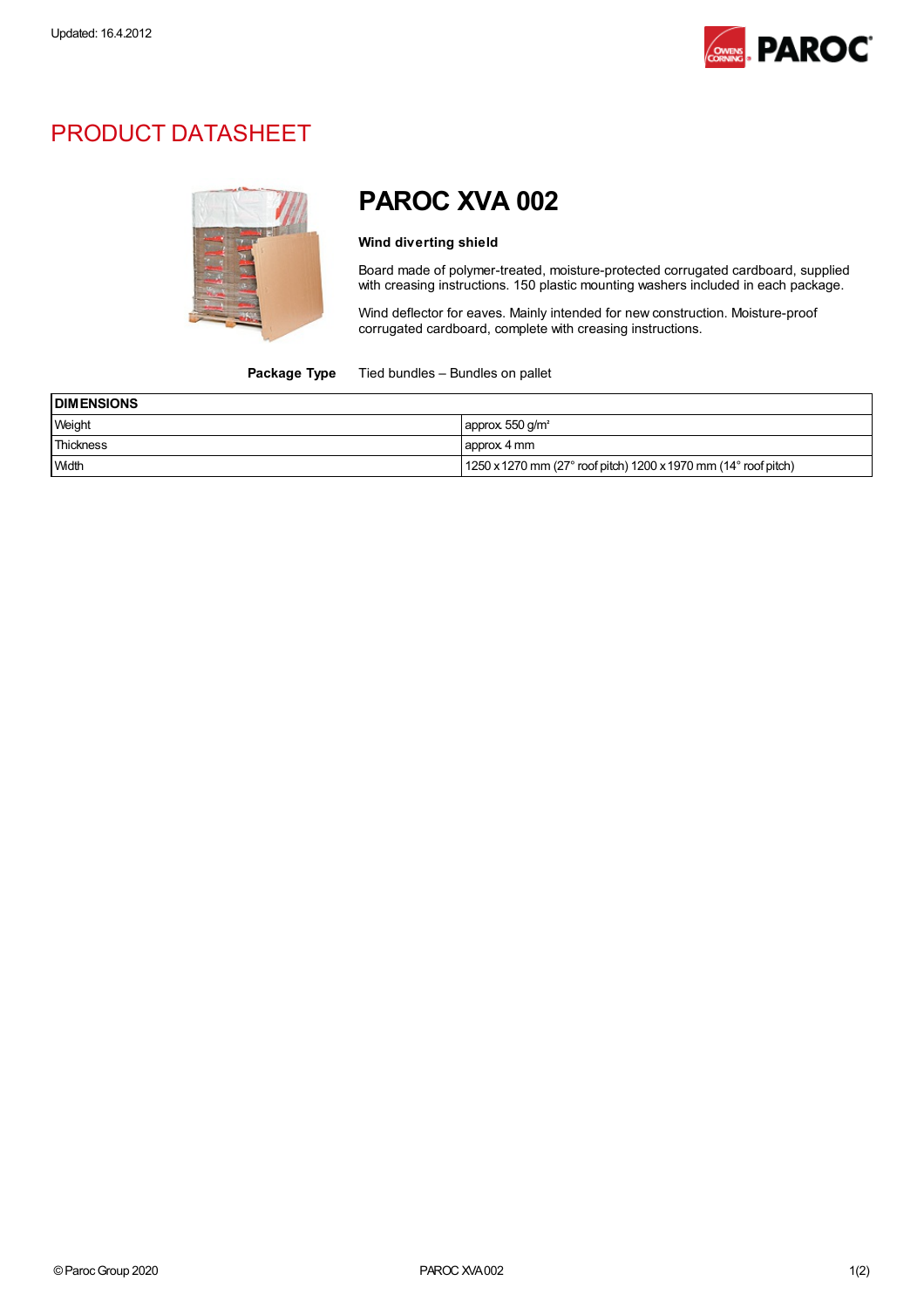

## PRODUCT DATASHEET



# PAROC XVA 002

#### Wind diverting shield

Board made of polymer-treated, moisture-protected corrugated cardboard, supplied with creasing instructions. 150 plastic mounting washers included in each package.

Wind deflector for eaves. Mainly intended for new construction. Moisture-proof corrugated cardboard, complete with creasing instructions.

#### Package Type Tied bundles - Bundles on pallet

| <b>DIMENSIONS</b> |                                                                                       |  |
|-------------------|---------------------------------------------------------------------------------------|--|
| Weight            | approx $550$ g/m <sup>2</sup>                                                         |  |
| Thickness         | approx 4 mm                                                                           |  |
| <b>Width</b>      | $1250$ x 1270 mm (27 $^{\circ}$ roof pitch) 1200 x 1970 mm (14 $^{\circ}$ roof pitch) |  |